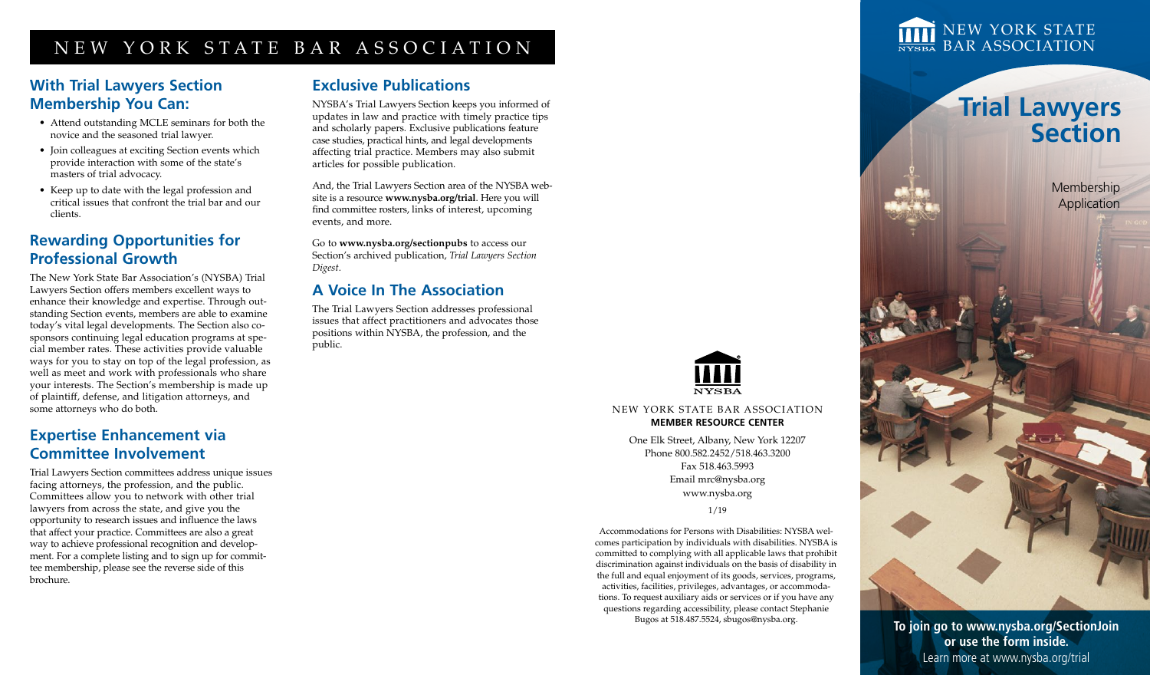## NEW YORK STATE BAR ASSOCIATION

### **With Trial Lawyers Section Membership You Can:**

- Attend outstanding MCLE seminars for both the novice and the seasoned trial lawyer.
- Join colleagues at exciting Section events which provide interaction with some of the state's masters of trial advocacy.
- Keep up to date with the legal profession and critical issues that confront the trial bar and our clients.

### **Rewarding Opportunities for Professional Growth**

The New York State Bar Association's (NYSBA) Trial Lawyers Section offers members excellent ways to enhance their knowledge and expertise. Through outstanding Section events, members are able to examine today's vital legal developments. The Section also cosponsors continuing legal education programs at special member rates. These activities provide valuable ways for you to stay on top of the legal profession, as well as meet and work with professionals who share your interests. The Section's membership is made up of plaintiff, defense, and litigation attorneys, and some attorneys who do both.

### **Expertise Enhancement via Committee Involvement**

Trial Lawyers Section committees address unique issues facing attorneys, the profession, and the public. Committees allow you to network with other trial lawyers from across the state, and give you the opportunity to research issues and influence the laws that affect your practice. Committees are also a great way to achieve professional recognition and development. For a complete listing and to sign up for committee membership, please see the reverse side of this brochure.

### **Exclusive Publications**

NYSBA's Trial Lawyers Section keeps you informed of updates in law and practice with timely practice tips and scholarly papers*.* Exclusive publications feature case studies, practical hints, and legal developments affecting trial practice. Members may also submit articles for possible publication.

And, the Trial Lawyers Section area of the NYSBA website is a resource **www.nysba.org/trial**. Here you will find committee rosters, links of interest, upcoming events, and more.

Go to **www.nysba.org/sectionpubs** to access our Section's archived publication, *Trial Lawyers Section Digest*.

### **A Voice In The Association**

The Trial Lawyers Section addresses professional issues that affect practitioners and advocates those positions within NYSBA, the profession, and the public.



NEW YORK STATE BAR ASSOCIATION **MEMBER RESOURCE CENTER**

> One Elk Street, Albany, New York 12207 Phone 800.582.2452/518.463.3200 Fax 518.463.5993 Email mrc@nysba.org www.nysba.org

1/19

Accommodations for Persons with Disabilities: NYSBA welcomes participation by individuals with disabilities. NYSBA is committed to complying with all applicable laws that prohibit discrimination against individuals on the basis of disability in the full and equal enjoyment of its goods, services, programs, activities, facilities, privileges, advantages, or accommodations. To request auxiliary aids or services or if you have any questions regarding accessibility, please contact Stephanie Bugos at 518.487.5524, sbugos@nysba.org.

NEW YORK STATE **BAR ASSOCIATION** 

# **Trial Lawyers Section**

Membership Application